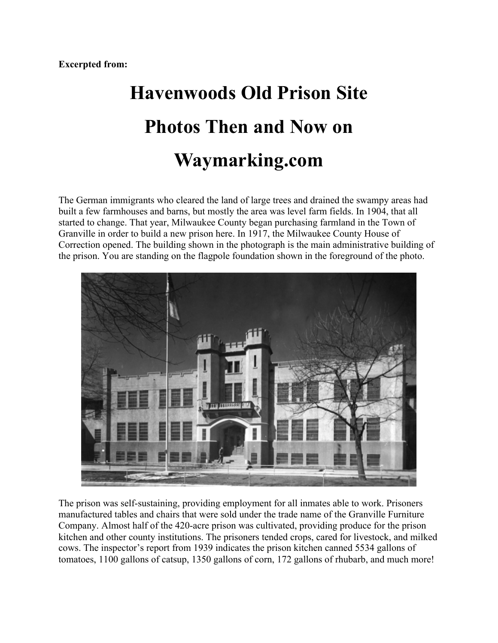## **Havenwoods Old Prison Site Photos Then and Now on Waymarking.com**

The German immigrants who cleared the land of large trees and drained the swampy areas had built a few farmhouses and barns, but mostly the area was level farm fields. In 1904, that all started to change. That year, Milwaukee County began purchasing farmland in the Town of Granville in order to build a new prison here. In 1917, the Milwaukee County House of Correction opened. The building shown in the photograph is the main administrative building of the prison. You are standing on the flagpole foundation shown in the foreground of the photo.



The prison was self-sustaining, providing employment for all inmates able to work. Prisoners manufactured tables and chairs that were sold under the trade name of the Granville Furniture Company. Almost half of the 420-acre prison was cultivated, providing produce for the prison kitchen and other county institutions. The prisoners tended crops, cared for livestock, and milked cows. The inspector's report from 1939 indicates the prison kitchen canned 5534 gallons of tomatoes, 1100 gallons of catsup, 1350 gallons of corn, 172 gallons of rhubarb, and much more!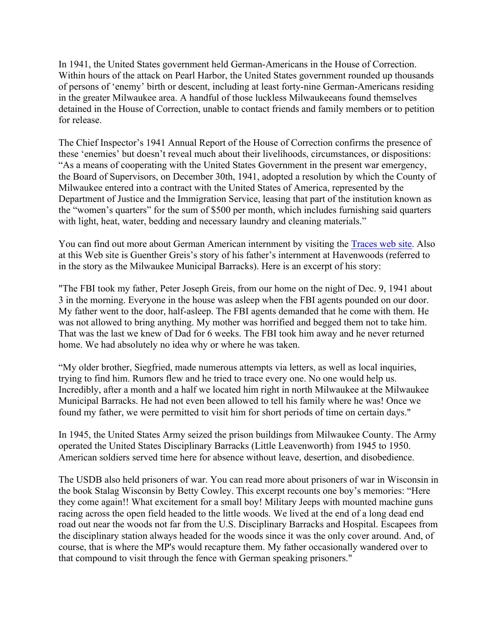In 1941, the United States government held German-Americans in the House of Correction. Within hours of the attack on Pearl Harbor, the United States government rounded up thousands of persons of 'enemy' birth or descent, including at least forty-nine German-Americans residing in the greater Milwaukee area. A handful of those luckless Milwaukeeans found themselves detained in the House of Correction, unable to contact friends and family members or to petition for release.

The Chief Inspector's 1941 Annual Report of the House of Correction confirms the presence of these 'enemies' but doesn't reveal much about their livelihoods, circumstances, or dispositions: "As a means of cooperating with the United States Government in the present war emergency, the Board of Supervisors, on December 30th, 1941, adopted a resolution by which the County of Milwaukee entered into a contract with the United States of America, represented by the Department of Justice and the Immigration Service, leasing that part of the institution known as the "women's quarters" for the sum of \$500 per month, which includes furnishing said quarters with light, heat, water, bedding and necessary laundry and cleaning materials."

You can find out more about German American internment by visiting the Traces web site. Also at this Web site is Guenther Greis's story of his father's internment at Havenwoods (referred to in the story as the Milwaukee Municipal Barracks). Here is an excerpt of his story:

"The FBI took my father, Peter Joseph Greis, from our home on the night of Dec. 9, 1941 about 3 in the morning. Everyone in the house was asleep when the FBI agents pounded on our door. My father went to the door, half-asleep. The FBI agents demanded that he come with them. He was not allowed to bring anything. My mother was horrified and begged them not to take him. That was the last we knew of Dad for 6 weeks. The FBI took him away and he never returned home. We had absolutely no idea why or where he was taken.

"My older brother, Siegfried, made numerous attempts via letters, as well as local inquiries, trying to find him. Rumors flew and he tried to trace every one. No one would help us. Incredibly, after a month and a half we located him right in north Milwaukee at the Milwaukee Municipal Barracks. He had not even been allowed to tell his family where he was! Once we found my father, we were permitted to visit him for short periods of time on certain days."

In 1945, the United States Army seized the prison buildings from Milwaukee County. The Army operated the United States Disciplinary Barracks (Little Leavenworth) from 1945 to 1950. American soldiers served time here for absence without leave, desertion, and disobedience.

The USDB also held prisoners of war. You can read more about prisoners of war in Wisconsin in the book Stalag Wisconsin by Betty Cowley. This excerpt recounts one boy's memories: "Here they come again!! What excitement for a small boy! Military Jeeps with mounted machine guns racing across the open field headed to the little woods. We lived at the end of a long dead end road out near the woods not far from the U.S. Disciplinary Barracks and Hospital. Escapees from the disciplinary station always headed for the woods since it was the only cover around. And, of course, that is where the MP's would recapture them. My father occasionally wandered over to that compound to visit through the fence with German speaking prisoners."